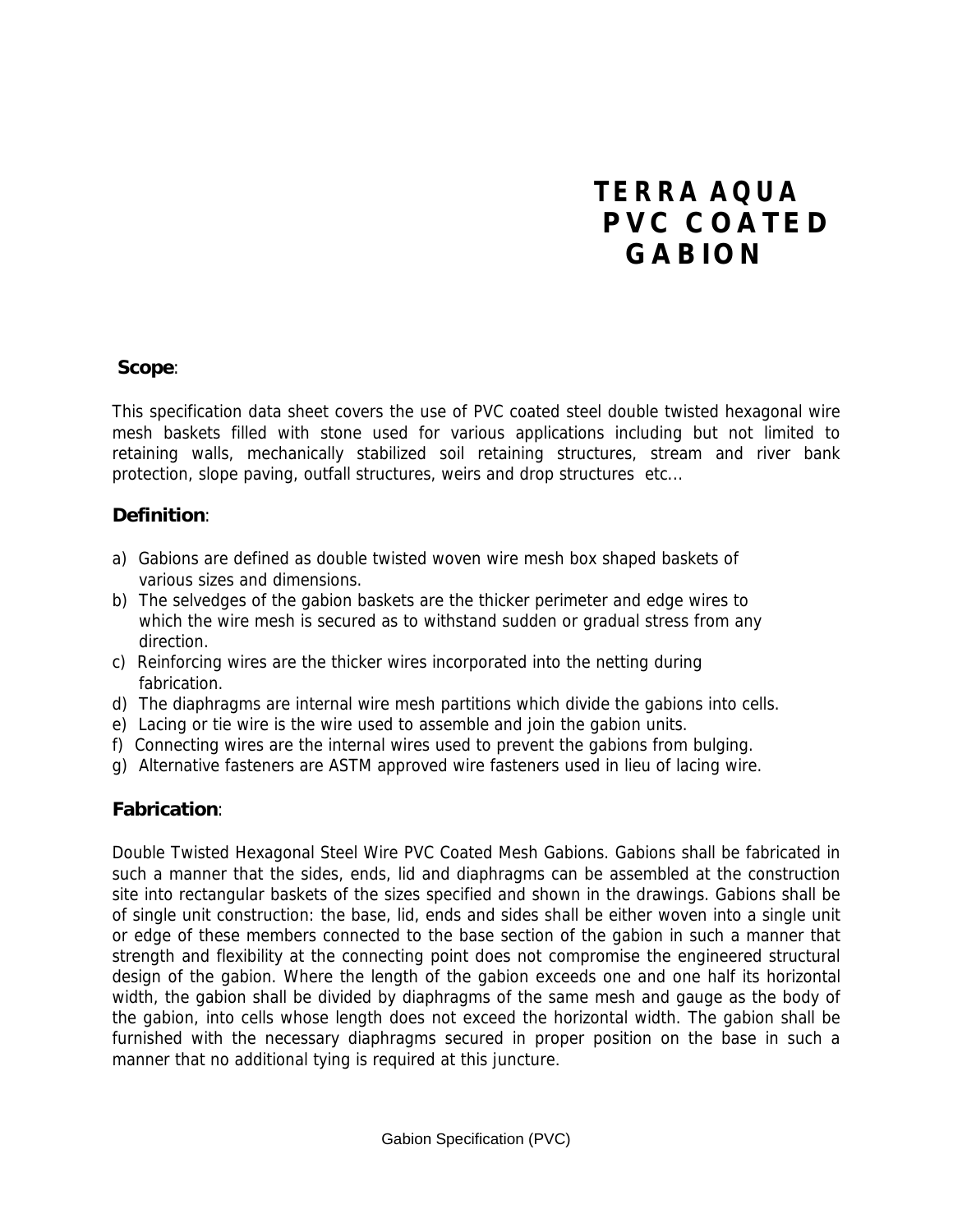# **TERRA AQUA PVC COATED GABION**

#### **Scope**:

This specification data sheet covers the use of PVC coated steel double twisted hexagonal wire mesh baskets filled with stone used for various applications including but not limited to retaining walls, mechanically stabilized soil retaining structures, stream and river bank protection, slope paving, outfall structures, weirs and drop structures etc...

#### **Definition**:

- a) Gabions are defined as double twisted woven wire mesh box shaped baskets of various sizes and dimensions.
- b) The selvedges of the gabion baskets are the thicker perimeter and edge wires to which the wire mesh is secured as to withstand sudden or gradual stress from any direction.
- c) Reinforcing wires are the thicker wires incorporated into the netting during fabrication.
- d) The diaphragms are internal wire mesh partitions which divide the gabions into cells.
- e) Lacing or tie wire is the wire used to assemble and join the gabion units.
- f) Connecting wires are the internal wires used to prevent the gabions from bulging.
- g) Alternative fasteners are ASTM approved wire fasteners used in lieu of lacing wire.

#### **Fabrication**:

Double Twisted Hexagonal Steel Wire PVC Coated Mesh Gabions. Gabions shall be fabricated in such a manner that the sides, ends, lid and diaphragms can be assembled at the construction site into rectangular baskets of the sizes specified and shown in the drawings. Gabions shall be of single unit construction: the base, lid, ends and sides shall be either woven into a single unit or edge of these members connected to the base section of the gabion in such a manner that strength and flexibility at the connecting point does not compromise the engineered structural design of the gabion. Where the length of the gabion exceeds one and one half its horizontal width, the gabion shall be divided by diaphragms of the same mesh and gauge as the body of the gabion, into cells whose length does not exceed the horizontal width. The gabion shall be furnished with the necessary diaphragms secured in proper position on the base in such a manner that no additional tying is required at this juncture.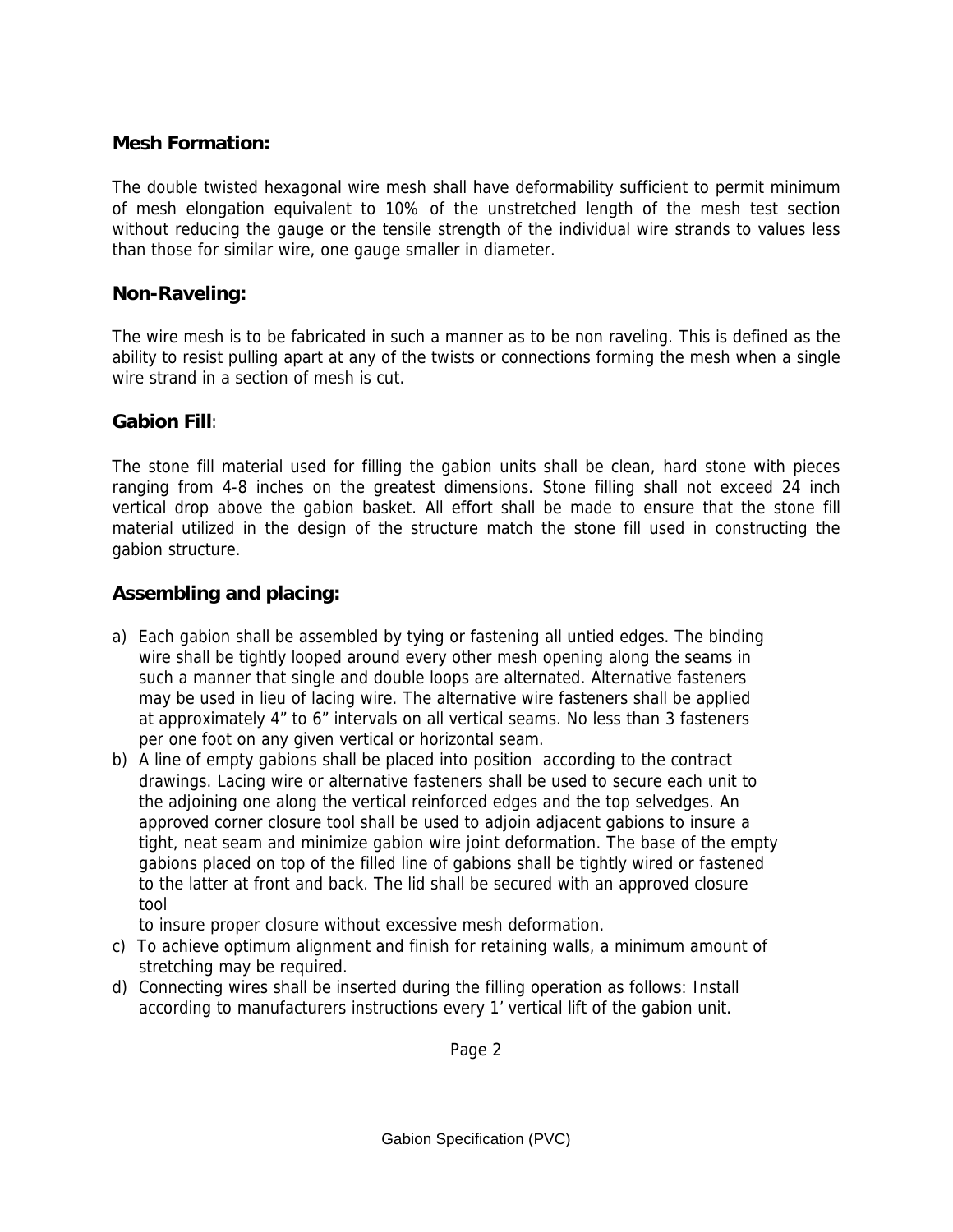#### **Mesh Formation:**

The double twisted hexagonal wire mesh shall have deformability sufficient to permit minimum of mesh elongation equivalent to 10% of the unstretched length of the mesh test section without reducing the gauge or the tensile strength of the individual wire strands to values less than those for similar wire, one gauge smaller in diameter.

#### **Non-Raveling:**

The wire mesh is to be fabricated in such a manner as to be non raveling. This is defined as the ability to resist pulling apart at any of the twists or connections forming the mesh when a single wire strand in a section of mesh is cut.

#### **Gabion Fill**:

The stone fill material used for filling the gabion units shall be clean, hard stone with pieces ranging from 4-8 inches on the greatest dimensions. Stone filling shall not exceed 24 inch vertical drop above the gabion basket. All effort shall be made to ensure that the stone fill material utilized in the design of the structure match the stone fill used in constructing the gabion structure.

## **Assembling and placing:**

- a) Each gabion shall be assembled by tying or fastening all untied edges. The binding wire shall be tightly looped around every other mesh opening along the seams in such a manner that single and double loops are alternated. Alternative fasteners may be used in lieu of lacing wire. The alternative wire fasteners shall be applied at approximately 4" to 6" intervals on all vertical seams. No less than 3 fasteners per one foot on any given vertical or horizontal seam.
- b) A line of empty gabions shall be placed into position according to the contract drawings. Lacing wire or alternative fasteners shall be used to secure each unit to the adjoining one along the vertical reinforced edges and the top selvedges. An approved corner closure tool shall be used to adjoin adjacent gabions to insure a tight, neat seam and minimize gabion wire joint deformation. The base of the empty gabions placed on top of the filled line of gabions shall be tightly wired or fastened to the latter at front and back. The lid shall be secured with an approved closure tool

to insure proper closure without excessive mesh deformation.

- c) To achieve optimum alignment and finish for retaining walls, a minimum amount of stretching may be required.
- d) Connecting wires shall be inserted during the filling operation as follows: Install according to manufacturers instructions every 1' vertical lift of the gabion unit.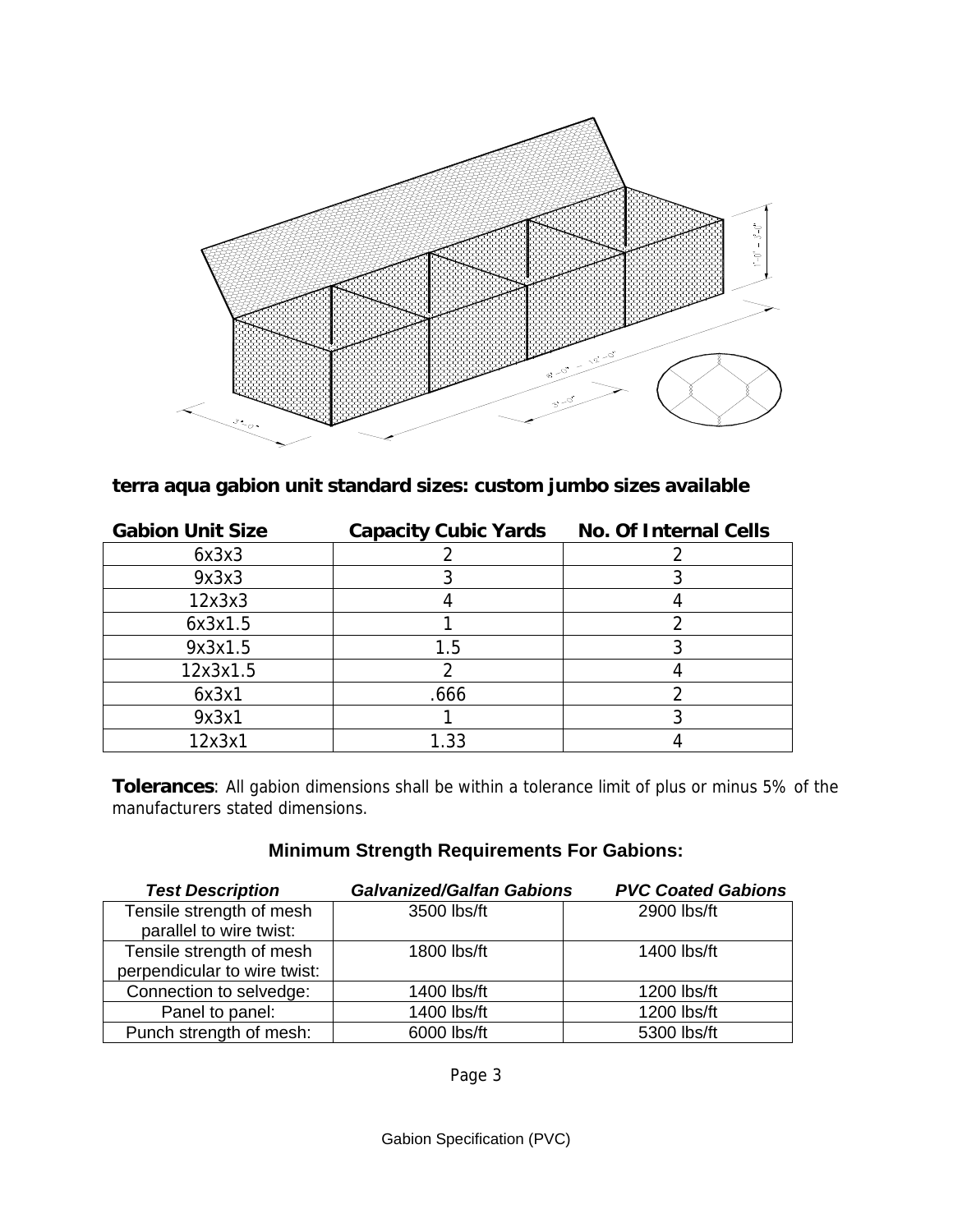

## **terra aqua gabion unit standard sizes: custom jumbo sizes available**

| <b>Gabion Unit Size</b> | <b>Capacity Cubic Yards</b> | <b>No. Of Internal Cells</b> |
|-------------------------|-----------------------------|------------------------------|
| 6x3x3                   |                             |                              |
| 9x3x3                   |                             |                              |
| 12x3x3                  |                             |                              |
| 6x3x1.5                 |                             |                              |
| 9x3x1.5                 | 1.5                         |                              |
| 12x3x1.5                |                             |                              |
| 6x3x1                   | .666                        |                              |
| 9x3x1                   |                             |                              |
| 12x3x1                  | 1.33                        |                              |

**Tolerances**: All gabion dimensions shall be within a tolerance limit of plus or minus 5% of the manufacturers stated dimensions.

#### **Minimum Strength Requirements For Gabions:**

| <b>Test Description</b>                                  | <b>Galvanized/Galfan Gabions</b> | <b>PVC Coated Gabions</b> |
|----------------------------------------------------------|----------------------------------|---------------------------|
| Tensile strength of mesh<br>parallel to wire twist:      | 3500 lbs/ft                      | 2900 lbs/ft               |
| Tensile strength of mesh<br>perpendicular to wire twist: | 1800 lbs/ft                      | 1400 lbs/ft               |
| Connection to selvedge:                                  | 1400 lbs/ft                      | 1200 lbs/ft               |
| Panel to panel:                                          | 1400 lbs/ft                      | 1200 lbs/ft               |
| Punch strength of mesh:                                  | 6000 lbs/ft                      | 5300 lbs/ft               |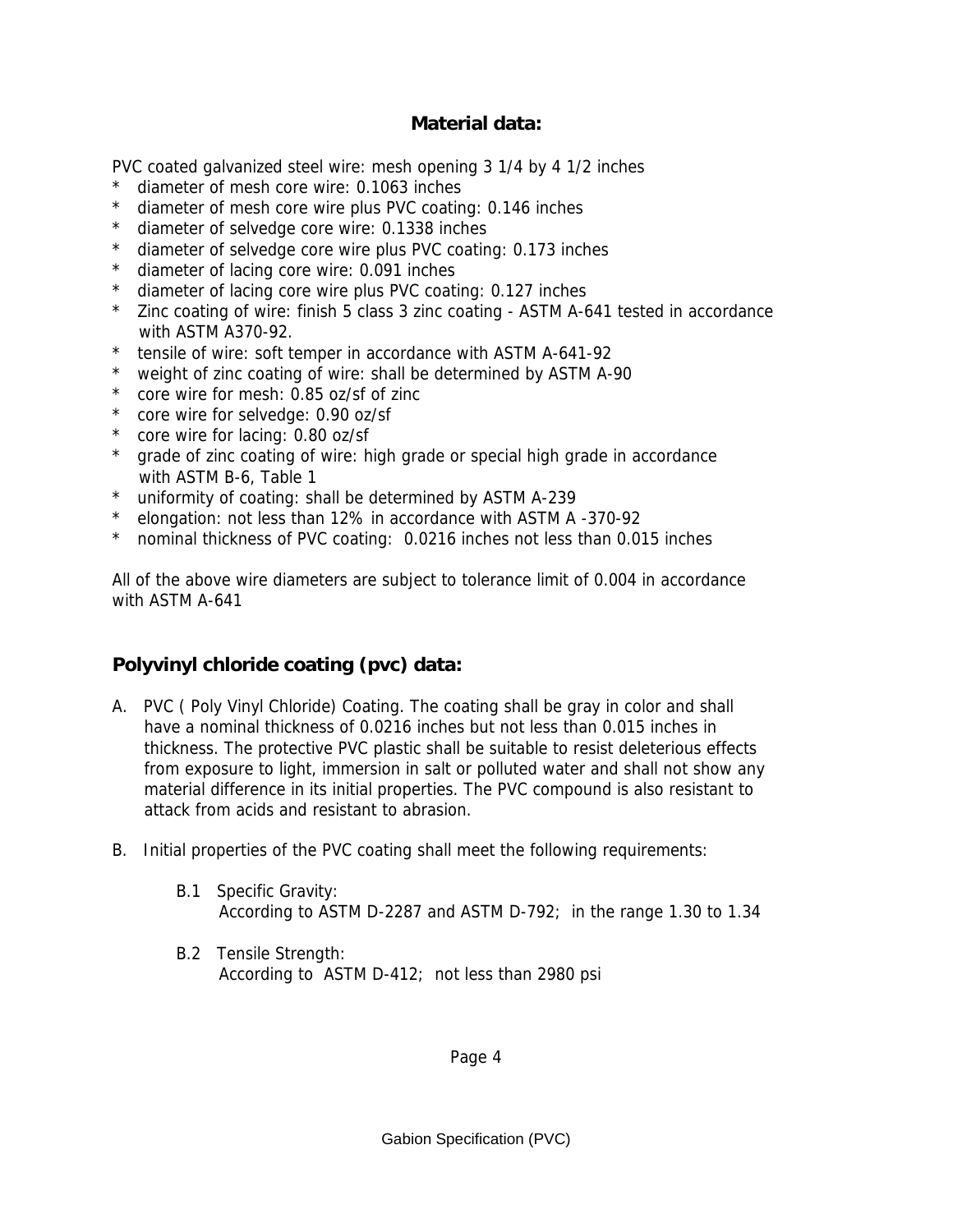#### **Material data:**

PVC coated galvanized steel wire: mesh opening 3 1/4 by 4 1/2 inches

- diameter of mesh core wire: 0.1063 inches
- \* diameter of mesh core wire plus PVC coating: 0.146 inches
- \* diameter of selvedge core wire: 0.1338 inches
- \* diameter of selvedge core wire plus PVC coating: 0.173 inches
- \* diameter of lacing core wire: 0.091 inches
- \* diameter of lacing core wire plus PVC coating: 0.127 inches
- \* Zinc coating of wire: finish 5 class 3 zinc coating ASTM A-641 tested in accordance with ASTM A370-92.
- tensile of wire: soft temper in accordance with ASTM A-641-92
- \* weight of zinc coating of wire: shall be determined by ASTM A-90
- \* core wire for mesh: 0.85 oz/sf of zinc
- \* core wire for selvedge: 0.90 oz/sf
- \* core wire for lacing: 0.80 oz/sf
- \* grade of zinc coating of wire: high grade or special high grade in accordance with ASTM B-6, Table 1
- \* uniformity of coating: shall be determined by ASTM A-239
- \* elongation: not less than 12% in accordance with ASTM A -370-92
- \* nominal thickness of PVC coating: 0.0216 inches not less than 0.015 inches

All of the above wire diameters are subject to tolerance limit of 0.004 in accordance with ASTM A-641

## **Polyvinyl chloride coating (pvc) data:**

- A. PVC ( Poly Vinyl Chloride) Coating. The coating shall be gray in color and shall have a nominal thickness of 0.0216 inches but not less than 0.015 inches in thickness. The protective PVC plastic shall be suitable to resist deleterious effects from exposure to light, immersion in salt or polluted water and shall not show any material difference in its initial properties. The PVC compound is also resistant to attack from acids and resistant to abrasion.
- B. Initial properties of the PVC coating shall meet the following requirements:
	- B.1 Specific Gravity: According to ASTM D-2287 and ASTM D-792; in the range 1.30 to 1.34
	- B.2 Tensile Strength: According to ASTM D-412; not less than 2980 psi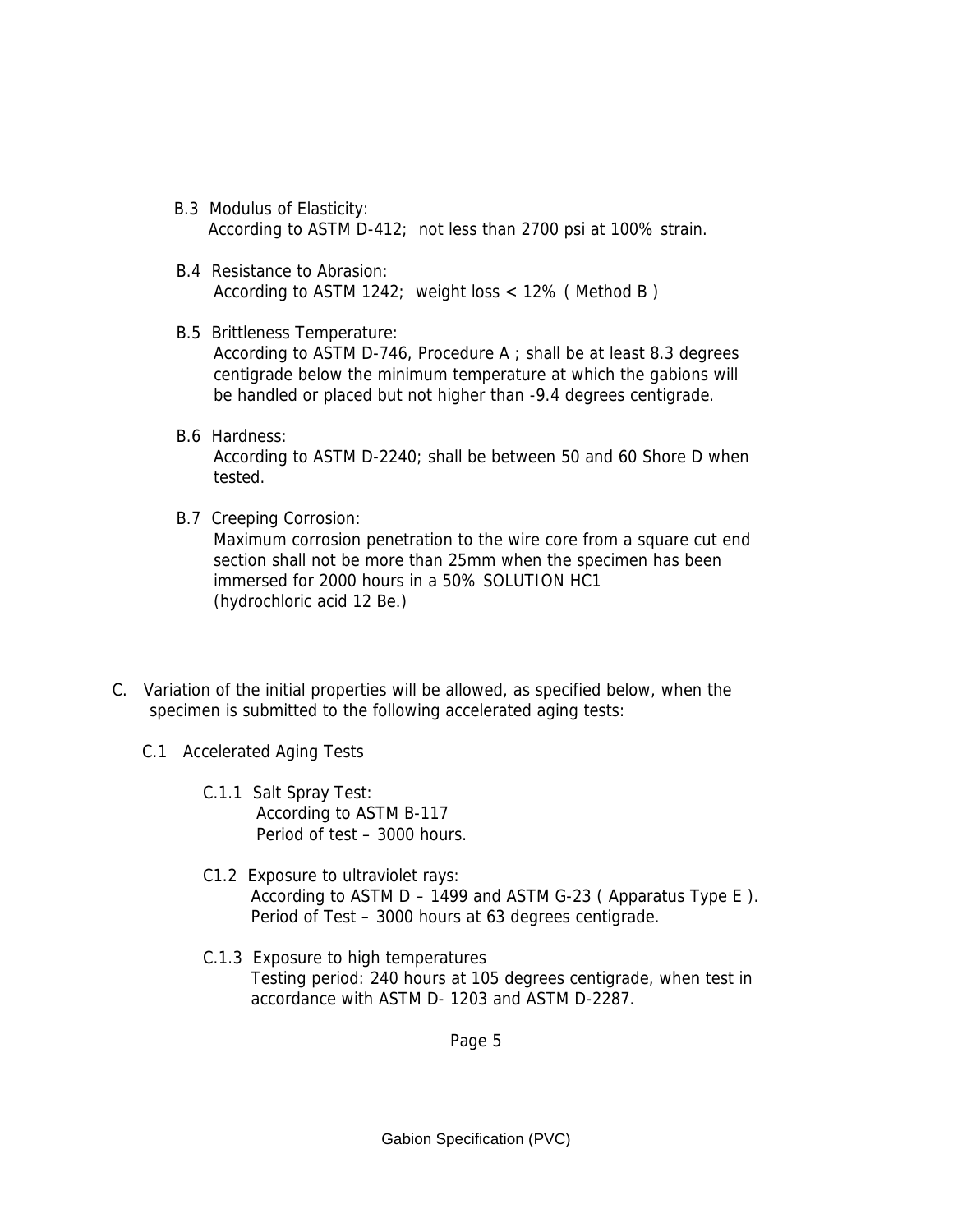- B.3 Modulus of Elasticity: According to ASTM D-412; not less than 2700 psi at 100% strain.
- B.4 Resistance to Abrasion: According to ASTM 1242; weight loss < 12% ( Method B )
- B.5 Brittleness Temperature: According to ASTM D-746, Procedure A ; shall be at least 8.3 degrees centigrade below the minimum temperature at which the gabions will be handled or placed but not higher than -9.4 degrees centigrade.
- B.6 Hardness: According to ASTM D-2240; shall be between 50 and 60 Shore D when tested.
- B.7 Creeping Corrosion:

Maximum corrosion penetration to the wire core from a square cut end section shall not be more than 25mm when the specimen has been immersed for 2000 hours in a 50% SOLUTION HC1 (hydrochloric acid 12 Be.)

- C. Variation of the initial properties will be allowed, as specified below, when the specimen is submitted to the following accelerated aging tests:
	- C.1 Accelerated Aging Tests
		- C.1.1 Salt Spray Test: According to ASTM B-117 Period of test – 3000 hours.
		- C1.2 Exposure to ultraviolet rays: According to ASTM  $D - 1499$  and ASTM G-23 (Apparatus Type E). Period of Test – 3000 hours at 63 degrees centigrade.
		- C.1.3 Exposure to high temperatures Testing period: 240 hours at 105 degrees centigrade, when test in accordance with ASTM D- 1203 and ASTM D-2287.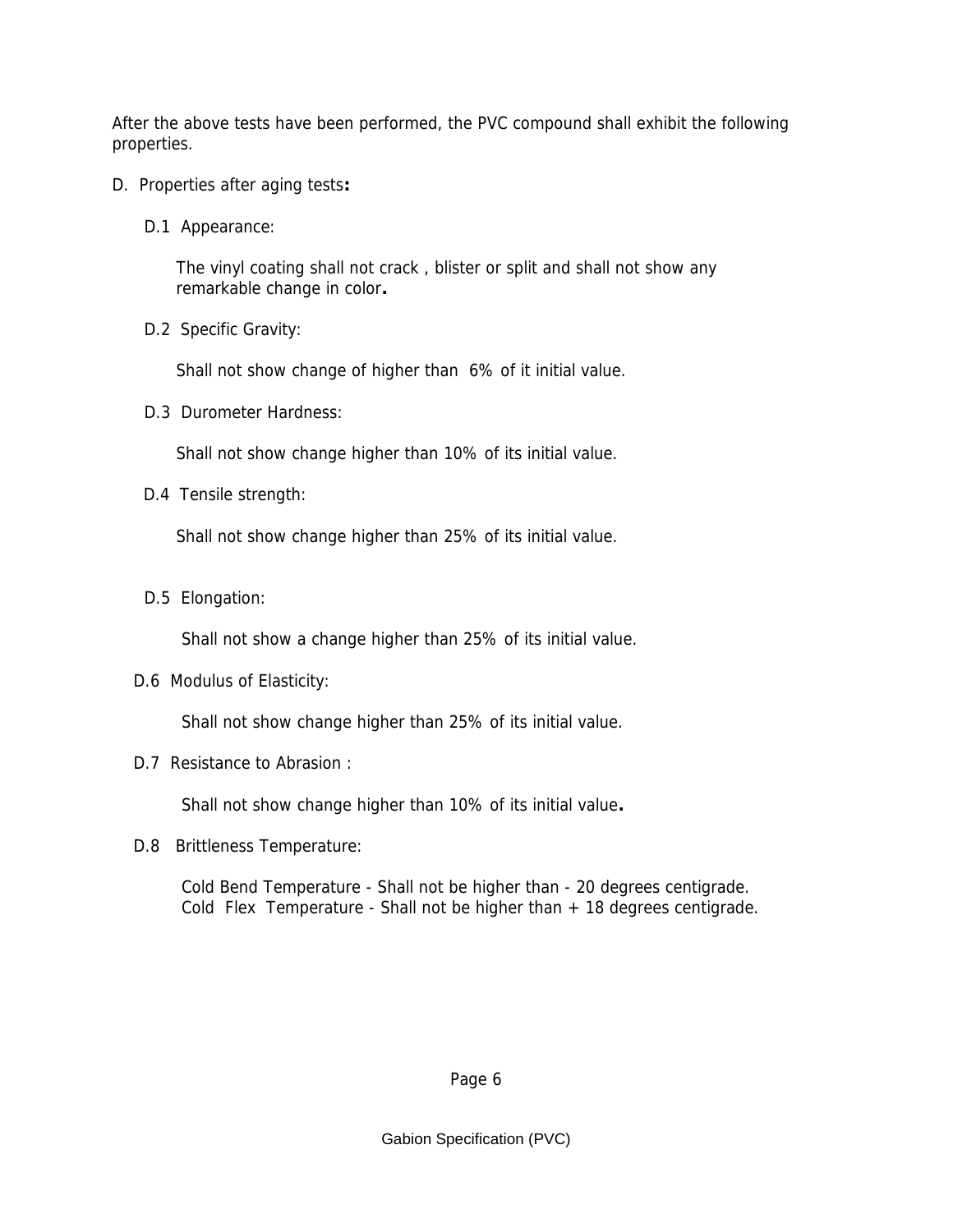After the above tests have been performed, the PVC compound shall exhibit the following properties.

- D. Properties after aging tests**:**
	- D.1 Appearance:

 The vinyl coating shall not crack , blister or split and shall not show any remarkable change in color**.**

D.2Specific Gravity:

Shall not show change of higher than 6% of it initial value.

D.3 Durometer Hardness:

Shall not show change higher than 10% of its initial value.

D.4Tensile strength:

Shall not show change higher than 25% of its initial value.

D.5 Elongation:

Shall not show a change higher than 25% of its initial value.

D.6 Modulus of Elasticity:

Shall not show change higher than 25% of its initial value.

D.7 Resistance to Abrasion :

Shall not show change higher than 10% of its initial value**.**

D.8 Brittleness Temperature:

 Cold Bend Temperature - Shall not be higher than - 20 degrees centigrade. Cold Flex Temperature - Shall not be higher than  $+18$  degrees centigrade.